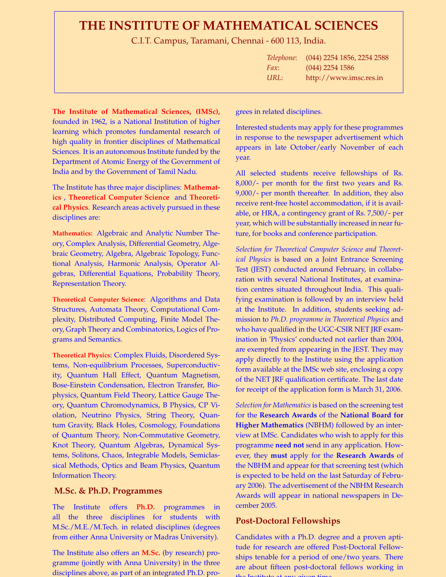# **THE INSTITUTE OF MATHEMATICAL SCIENCES**

C.I.T. Campus, Taramani, Chennai - 600 113, India.

| Telephone: | (044) 2254 1856, 2254 2588 |
|------------|----------------------------|
| Fax:       | $(044)$ 2254 1586          |
| URL:       | http://www.imsc.res.in     |

**The Institute of Mathematical Sciences, (IMSc),** founded in 1962, is a National Institution of higher learning which promotes fundamental research of high quality in frontier disciplines of Mathematical Sciences. It is an autonomous Institute funded by the Department of Atomic Energy of the Government of India and by the Government of Tamil Nadu.

The Institute has three major disciplines: **Mathematics** , **Theoretical Computer Science** and **Theoretical Physics**. Research areas actively pursued in these disciplines are:

**Mathematics**: Algebraic and Analytic Number Theory, Complex Analysis, Differential Geometry, Algebraic Geometry, Algebra, Algebraic Topology, Functional Analysis, Harmonic Analysis, Operator Algebras, Differential Equations, Probability Theory, Representation Theory.

**Theoretical Computer Science**: Algorithms and Data Structures, Automata Theory, Computational Complexity, Distributed Computing, Finite Model Theory, Graph Theory and Combinatorics, Logics of Programs and Semantics.

**Theoretical Physics**: Complex Fluids, Disordered Systems, Non-equilibrium Processes, Superconductivity, Quantum Hall Effect, Quantum Magnetism, Bose-Einstein Condensation, Electron Transfer, Biophysics, Quantum Field Theory, Lattice Gauge Theory, Quantum Chromodynamics, B Physics, CP Violation, Neutrino Physics, String Theory, Quantum Gravity, Black Holes, Cosmology, Foundations of Quantum Theory, Non-Commutative Geometry, Knot Theory, Quantum Algebras, Dynamical Systems, Solitons, Chaos, Integrable Models, Semiclassical Methods, Optics and Beam Physics, Quantum Information Theory.

## **M.Sc. & Ph.D. Programmes**

The Institute offers **Ph.D.** programmes all the three disciplines for students with M.Sc./M.E./M.Tech. in related disciplines (degrees from either Anna University or Madras University).

The Institute also offers an **M.Sc.** (by research) programme (jointly with Anna University) in the three disciplines above, as part of an integrated Ph.D. progrees in related disciplines.

Interested students may apply for these programmes in response to the newspaper advertisement which appears in late October/early November of each year.

All selected students receive fellowships of Rs. 8,000/- per month for the first two years and Rs. 9,000/- per month thereafter. In addition, they also receive rent-free hostel accommodation, if it is available, or HRA, a contingency grant of Rs. 7,500/- per year, which will be substantially increased in near future, for books and conference participation.

*Selection for Theoretical Computer Science and Theoretical Physics* is based on a Joint Entrance Screening Test (JEST) conducted around February, in collaboration with several National Institutes, at examination centres situated throughout India. This qualifying examination is followed by an interview held at the Institute. In addition, students seeking admission to *Ph.D. programme in Theoretical Physics* and who have qualified in the UGC-CSIR NET JRF examination in 'Physics' conducted not earlier than 2004, are exempted from appearing in the JEST. They may apply directly to the Institute using the application form available at the IMSc web site, enclosing a copy of the NET JRF qualification certificate. The last date for receipt of the application form is March 31, 2006.

*Selection for Mathematics* is based on the screening test for the **Research Awards** of the **National Board for Higher Mathematics** (NBHM) followed by an interview at IMSc. Candidates who wish to apply for this programme **need not** send in any application. However, they **must** apply for the **Research Awards** of the NBHM and appear for that screening test (which is expected to be held on the last Saturday of February 2006). The advertisement of the NBHM Research Awards will appear in national newspapers in December 2005.

## **Post-Doctoral Fellowships**

Candidates with a Ph.D. degree and a proven aptitude for research are offered Post-Doctoral Fellowships tenable for a period of one/two years. There are about fifteen post-doctoral fellows working in the Institute at any given time.